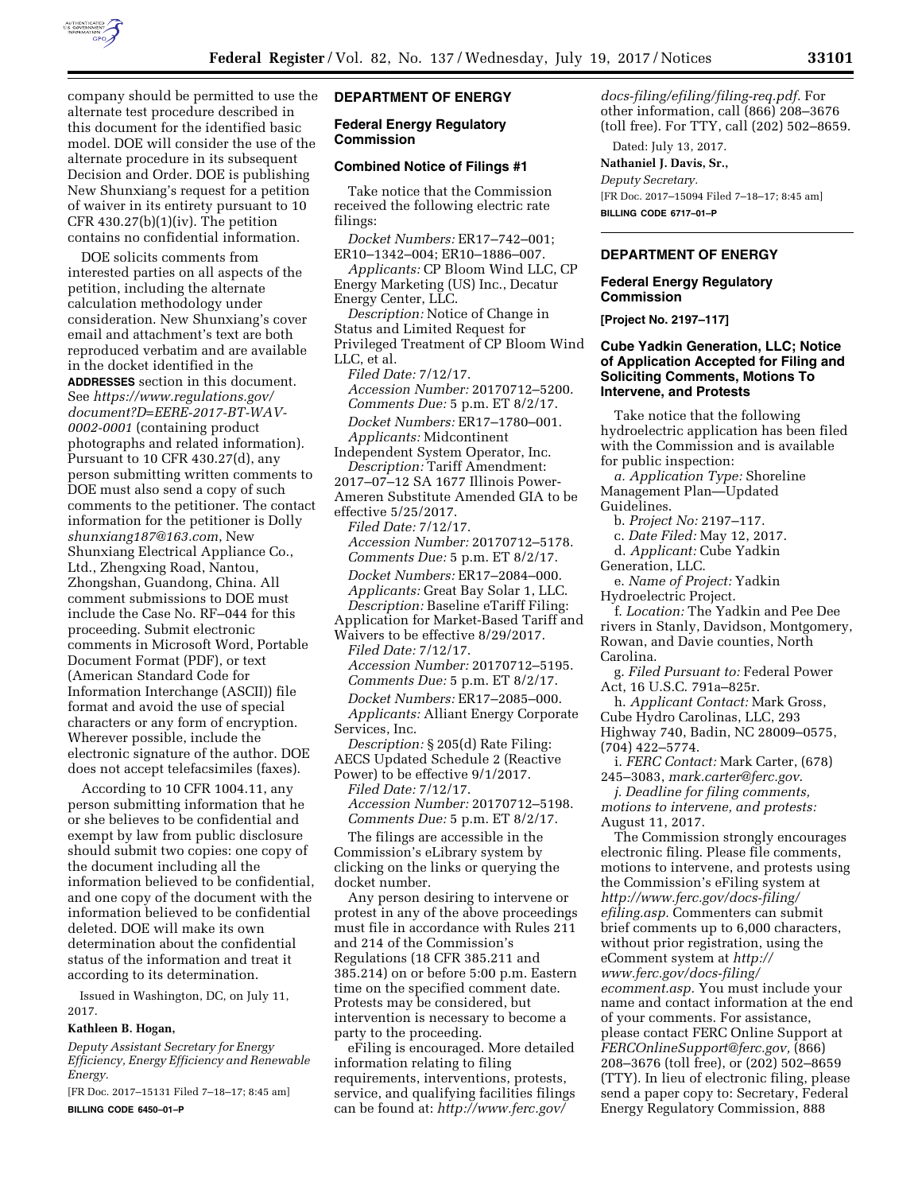

company should be permitted to use the alternate test procedure described in this document for the identified basic model. DOE will consider the use of the alternate procedure in its subsequent Decision and Order. DOE is publishing New Shunxiang's request for a petition of waiver in its entirety pursuant to 10 CFR  $430.27(b)(1)(iv)$ . The petition contains no confidential information.

DOE solicits comments from interested parties on all aspects of the petition, including the alternate calculation methodology under consideration. New Shunxiang's cover email and attachment's text are both reproduced verbatim and are available in the docket identified in the **ADDRESSES** section in this document. See *[https://www.regulations.gov/](https://www.regulations.gov/document?D=EERE-2017-BT-WAV-0002-0001)  [document?D=EERE-2017-BT-WAV-](https://www.regulations.gov/document?D=EERE-2017-BT-WAV-0002-0001)[0002-0001](https://www.regulations.gov/document?D=EERE-2017-BT-WAV-0002-0001)* (containing product photographs and related information). Pursuant to 10 CFR 430.27(d), any person submitting written comments to DOE must also send a copy of such comments to the petitioner. The contact information for the petitioner is Dolly *[shunxiang187@163.com](mailto:shunxiang187@163.com)*, New Shunxiang Electrical Appliance Co., Ltd., Zhengxing Road, Nantou, Zhongshan, Guandong, China. All comment submissions to DOE must include the Case No. RF–044 for this proceeding. Submit electronic comments in Microsoft Word, Portable Document Format (PDF), or text (American Standard Code for Information Interchange (ASCII)) file format and avoid the use of special characters or any form of encryption. Wherever possible, include the electronic signature of the author. DOE does not accept telefacsimiles (faxes).

According to 10 CFR 1004.11, any person submitting information that he or she believes to be confidential and exempt by law from public disclosure should submit two copies: one copy of the document including all the information believed to be confidential, and one copy of the document with the information believed to be confidential deleted. DOE will make its own determination about the confidential status of the information and treat it according to its determination.

Issued in Washington, DC, on July 11, 2017.

#### **Kathleen B. Hogan,**

*Deputy Assistant Secretary for Energy Efficiency, Energy Efficiency and Renewable Energy.* 

[FR Doc. 2017–15131 Filed 7–18–17; 8:45 am] **BILLING CODE 6450–01–P** 

# **DEPARTMENT OF ENERGY**

### **Federal Energy Regulatory Commission**

#### **Combined Notice of Filings #1**

Take notice that the Commission received the following electric rate filings:

*Docket Numbers:* ER17–742–001; ER10–1342–004; ER10–1886–007.

*Applicants:* CP Bloom Wind LLC, CP Energy Marketing (US) Inc., Decatur Energy Center, LLC.

*Description:* Notice of Change in Status and Limited Request for Privileged Treatment of CP Bloom Wind LLC, et al.

*Filed Date:* 7/12/17. *Accession Number:* 20170712–5200. *Comments Due:* 5 p.m. ET 8/2/17. *Docket Numbers:* ER17–1780–001. *Applicants:* Midcontinent

Independent System Operator, Inc. *Description:* Tariff Amendment: 2017–07–12 SA 1677 Illinois Power-

Ameren Substitute Amended GIA to be effective 5/25/2017.

*Filed Date:* 7/12/17. *Accession Number:* 20170712–5178. *Comments Due:* 5 p.m. ET 8/2/17. *Docket Numbers:* ER17–2084–000. *Applicants:* Great Bay Solar 1, LLC. *Description:* Baseline eTariff Filing: Application for Market-Based Tariff and

Waivers to be effective 8/29/2017. *Filed Date:* 7/12/17.

*Accession Number:* 20170712–5195. *Comments Due:* 5 p.m. ET 8/2/17. *Docket Numbers:* ER17–2085–000. *Applicants:* Alliant Energy Corporate Services, Inc.

*Description:* § 205(d) Rate Filing: AECS Updated Schedule 2 (Reactive Power) to be effective 9/1/2017.

*Filed Date:* 7/12/17. *Accession Number:* 20170712–5198. *Comments Due:* 5 p.m. ET 8/2/17.

The filings are accessible in the Commission's eLibrary system by clicking on the links or querying the docket number.

Any person desiring to intervene or protest in any of the above proceedings must file in accordance with Rules 211 and 214 of the Commission's Regulations (18 CFR 385.211 and 385.214) on or before 5:00 p.m. Eastern time on the specified comment date. Protests may be considered, but intervention is necessary to become a party to the proceeding.

eFiling is encouraged. More detailed information relating to filing requirements, interventions, protests, service, and qualifying facilities filings can be found at: *[http://www.ferc.gov/](http://www.ferc.gov/docs-filing/efiling/filing-req.pdf)* 

*[docs-filing/efiling/filing-req.pdf.](http://www.ferc.gov/docs-filing/efiling/filing-req.pdf)* For other information, call (866) 208–3676 (toll free). For TTY, call (202) 502–8659.

### Dated: July 13, 2017. **Nathaniel J. Davis, Sr.,**

*Deputy Secretary.* 

[FR Doc. 2017–15094 Filed 7–18–17; 8:45 am] **BILLING CODE 6717–01–P** 

# **DEPARTMENT OF ENERGY**

#### **Federal Energy Regulatory Commission**

**[Project No. 2197–117]** 

# **Cube Yadkin Generation, LLC; Notice of Application Accepted for Filing and Soliciting Comments, Motions To Intervene, and Protests**

Take notice that the following hydroelectric application has been filed with the Commission and is available for public inspection:

*a. Application Type:* Shoreline Management Plan—Updated Guidelines.

b. *Project No:* 2197–117.

c. *Date Filed:* May 12, 2017.

d. *Applicant:* Cube Yadkin Generation, LLC.

e. *Name of Project:* Yadkin Hydroelectric Project.

f. *Location:* The Yadkin and Pee Dee rivers in Stanly, Davidson, Montgomery, Rowan, and Davie counties, North Carolina.

g. *Filed Pursuant to:* Federal Power Act, 16 U.S.C. 791a–825r.

h. *Applicant Contact:* Mark Gross, Cube Hydro Carolinas, LLC, 293 Highway 740, Badin, NC 28009–0575, (704) 422–5774.

i. *FERC Contact:* Mark Carter, (678) 245–3083, *[mark.carter@ferc.gov](mailto:mark.carter@ferc.gov)*.

*j. Deadline for filing comments, motions to intervene, and protests:*  August 11, 2017.

The Commission strongly encourages electronic filing. Please file comments, motions to intervene, and protests using the Commission's eFiling system at *[http://www.ferc.gov/docs-filing/](http://www.ferc.gov/docs-filing/efiling.asp) [efiling.asp.](http://www.ferc.gov/docs-filing/efiling.asp)* Commenters can submit brief comments up to 6,000 characters, without prior registration, using the eComment system at *[http://](http://www.ferc.gov/docs-filing/ecomment.asp) [www.ferc.gov/docs-filing/](http://www.ferc.gov/docs-filing/ecomment.asp)  [ecomment.asp.](http://www.ferc.gov/docs-filing/ecomment.asp)* You must include your name and contact information at the end of your comments. For assistance, please contact FERC Online Support at *[FERCOnlineSupport@ferc.gov,](mailto:FERCOnlineSupport@ferc.gov)* (866) 208–3676 (toll free), or (202) 502–8659 (TTY). In lieu of electronic filing, please send a paper copy to: Secretary, Federal Energy Regulatory Commission, 888